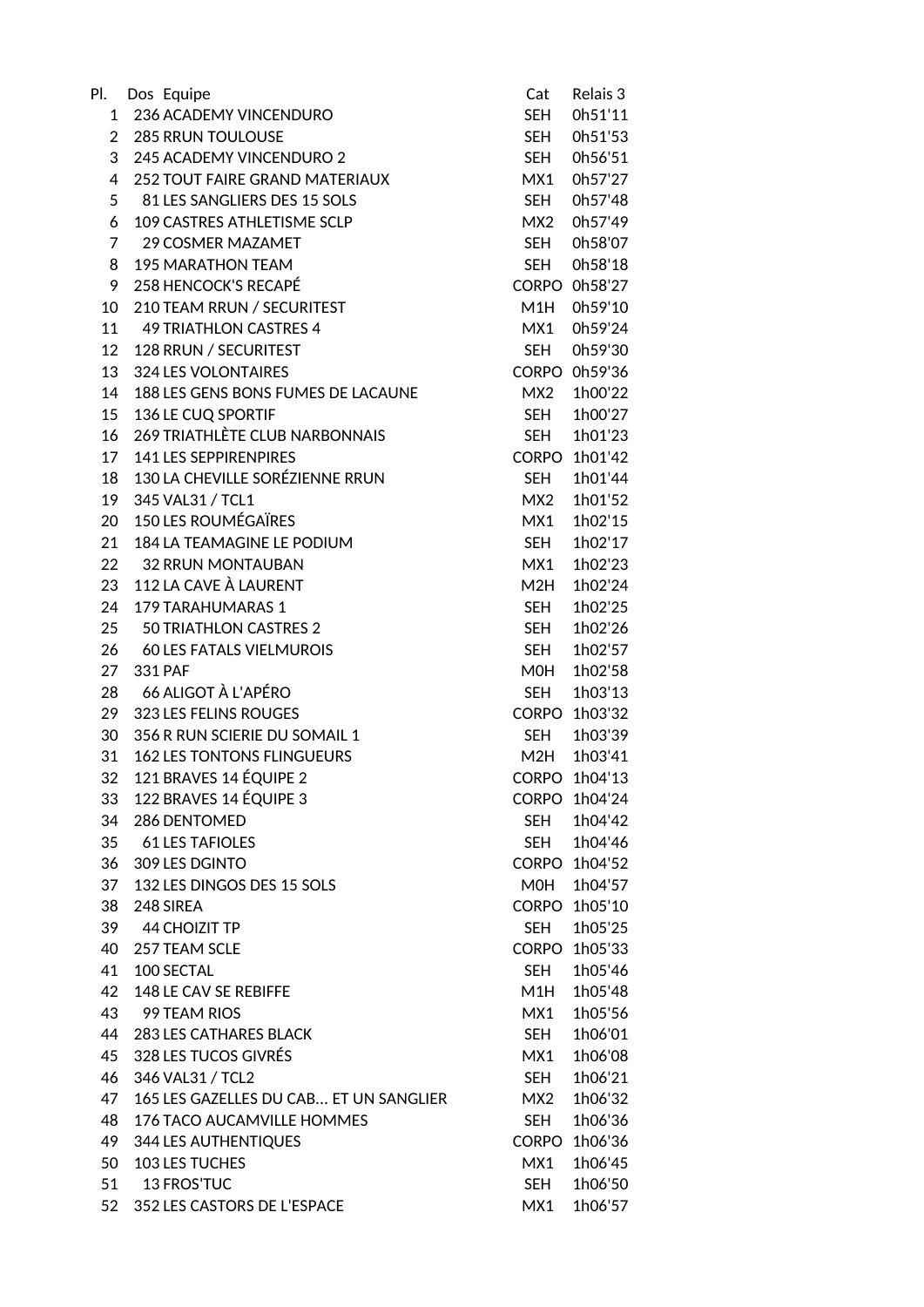| Pl.            | Dos Equipe                             | Cat          | Relais 3      |
|----------------|----------------------------------------|--------------|---------------|
| 1              | 236 ACADEMY VINCENDURO                 | <b>SEH</b>   | 0h51'11       |
| $\overline{2}$ | <b>285 RRUN TOULOUSE</b>               | SEH          | 0h51'53       |
| 3              | 245 ACADEMY VINCENDURO 2               | SEH          | 0h56'51       |
| 4              | <b>252 TOUT FAIRE GRAND MATERIAUX</b>  | MX1          | 0h57'27       |
| 5              | 81 LES SANGLIERS DES 15 SOLS           | <b>SEH</b>   | 0h57'48       |
| 6              | 109 CASTRES ATHLETISME SCLP            | MX2          | 0h57'49       |
| 7              | 29 COSMER MAZAMET                      | SEH          | 0h58'07       |
| 8              | <b>195 MARATHON TEAM</b>               | <b>SEH</b>   | 0h58'18       |
| 9              | 258 HENCOCK'S RECAPÉ                   |              | CORPO 0h58'27 |
| 10             | 210 TEAM RRUN / SECURITEST             | M1H          | 0h59'10       |
| 11             | 49 TRIATHLON CASTRES 4                 | MX1          | 0h59'24       |
| 12             | 128 RRUN / SECURITEST                  | <b>SEH</b>   | 0h59'30       |
| 13             | <b>324 LES VOLONTAIRES</b>             | <b>CORPO</b> | 0h59'36       |
| 14             | 188 LES GENS BONS FUMES DE LACAUNE     | MX2          | 1h00'22       |
| 15             | 136 LE CUQ SPORTIF                     | <b>SEH</b>   | 1h00'27       |
| 16             | <b>269 TRIATHLÈTE CLUB NARBONNAIS</b>  | SEH          | 1h01'23       |
| 17             | 141 LES SEPPIRENPIRES                  | <b>CORPO</b> | 1h01'42       |
| 18             | 130 LA CHEVILLE SORÉZIENNE RRUN        | <b>SEH</b>   | 1h01'44       |
| 19             | 345 VAL31 / TCL1                       | MX2          | 1h01'52       |
| 20             | <b>150 LES ROUMÉGAÏRES</b>             | MX1          | 1h02'15       |
| 21             | <b>184 LA TEAMAGINE LE PODIUM</b>      | <b>SEH</b>   | 1h02'17       |
|                | 22 32 RRUN MONTAUBAN                   | MX1          | 1h02'23       |
| 23             | 112 LA CAVE À LAURENT                  | M2H          | 1h02'24       |
| 24             | <b>179 TARAHUMARAS 1</b>               | <b>SEH</b>   | 1h02'25       |
| 25             | 50 TRIATHLON CASTRES 2                 | <b>SEH</b>   | 1h02'26       |
| 26             | <b>60 LES FATALS VIELMUROIS</b>        | <b>SEH</b>   | 1h02'57       |
| 27             | 331 PAF                                | MOH          | 1h02'58       |
|                | 28 66 ALIGOT À L'APÉRO                 | <b>SEH</b>   | 1h03'13       |
| 29             | 323 LES FELINS ROUGES                  | <b>CORPO</b> | 1h03'32       |
| 30             | 356 R RUN SCIERIE DU SOMAIL 1          | SEH          | 1h03'39       |
| 31             | <b>162 LES TONTONS FLINGUEURS</b>      | M2H          | 1h03'41       |
|                | 32 121 BRAVES 14 ÉQUIPE 2              |              | CORPO 1h04'13 |
| 33             | 122 BRAVES 14 ÉQUIPE 3                 |              | CORPO 1h04'24 |
| 34             | 286 DENTOMED                           | SEH          | 1h04'42       |
| 35             | <b>61 LES TAFIOLES</b>                 | <b>SEH</b>   | 1h04'46       |
| 36             | 309 LES DGINTO                         | <b>CORPO</b> | 1h04'52       |
| 37             | 132 LES DINGOS DES 15 SOLS             | MOH          | 1h04'57       |
| 38             | 248 SIREA                              |              | CORPO 1h05'10 |
|                | 39 44 CHOIZIT TP                       | SEH          | 1h05'25       |
| 40             | 257 TEAM SCLE                          | <b>CORPO</b> | 1h05'33       |
| 41             | 100 SECTAL                             | SEH          | 1h05'46       |
| 42             | 148 LE CAV SE REBIFFE                  | M1H          | 1h05'48       |
|                | 43 99 TEAM RIOS                        | MX1          | 1h05'56       |
|                | 44 283 LES CATHARES BLACK              | SEH          | 1h06'01       |
| 45             | 328 LES TUCOS GIVRÉS                   | MX1          | 1h06'08       |
| 46             | 346 VAL31 / TCL2                       | SEH          | 1h06'21       |
| 47             | 165 LES GAZELLES DU CAB ET UN SANGLIER | MX2          | 1h06'32       |
| 48             | 176 TACO AUCAMVILLE HOMMES             | <b>SEH</b>   | 1h06'36       |
| 49             | 344 LES AUTHENTIQUES                   | <b>CORPO</b> | 1h06'36       |
| 50             | 103 LES TUCHES                         | MX1          | 1h06'45       |
| 51             | 13 FROS'TUC                            | SEH          | 1h06'50       |
| 52             | 352 LES CASTORS DE L'ESPACE            | MX1          | 1h06'57       |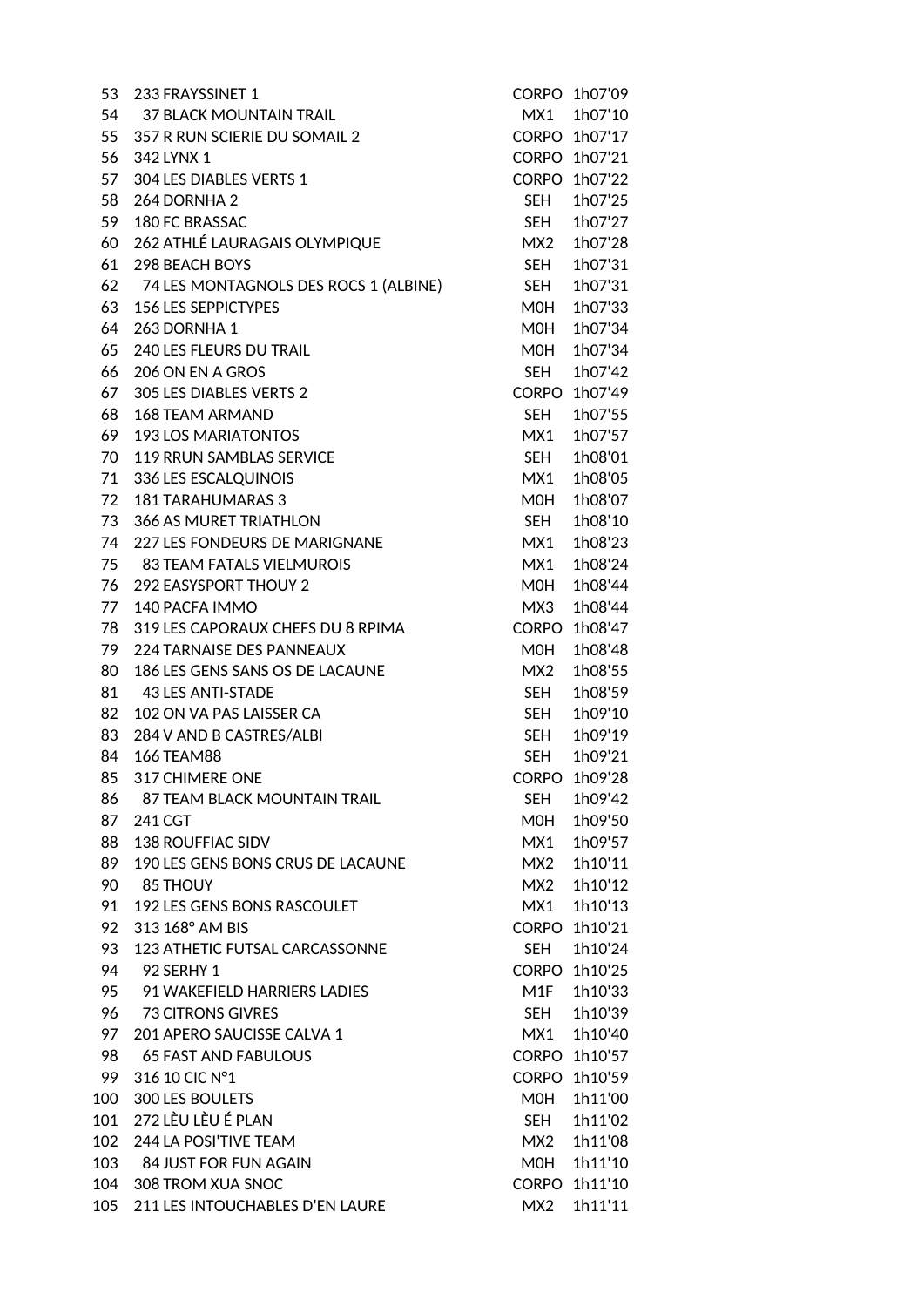| 53  | 233 FRAYSSINET 1                      |              | CORPO 1h07'09 |
|-----|---------------------------------------|--------------|---------------|
| 54  | 37 BLACK MOUNTAIN TRAIL               | MX1          | 1h07'10       |
| 55  | 357 R RUN SCIERIE DU SOMAIL 2         |              | CORPO 1h07'17 |
| 56  | 342 LYNX 1                            |              | CORPO 1h07'21 |
| 57  | 304 LES DIABLES VERTS 1               | <b>CORPO</b> | 1h07'22       |
| 58  | 264 DORNHA 2                          | <b>SEH</b>   | 1h07'25       |
| 59  | 180 FC BRASSAC                        | SEH          | 1h07'27       |
| 60  | 262 ATHLÉ LAURAGAIS OLYMPIQUE         | MX2          | 1h07'28       |
| 61  | 298 BEACH BOYS                        | <b>SEH</b>   | 1h07'31       |
| 62  | 74 LES MONTAGNOLS DES ROCS 1 (ALBINE) | SEH          | 1h07'31       |
| 63  | <b>156 LES SEPPICTYPES</b>            | M0H          | 1h07'33       |
| 64  | 263 DORNHA 1                          | M0H          | 1h07'34       |
| 65  | 240 LES FLEURS DU TRAIL               | M0H          | 1h07'34       |
| 66  | 206 ON EN A GROS                      | SEH          | 1h07'42       |
| 67  | 305 LES DIABLES VERTS 2               | <b>CORPO</b> | 1h07'49       |
| 68  | <b>168 TEAM ARMAND</b>                | SEH          | 1h07'55       |
| 69  | <b>193 LOS MARIATONTOS</b>            | MX1          | 1h07'57       |
| 70  | 119 RRUN SAMBLAS SERVICE              | SEH          | 1h08'01       |
| 71  | 336 LES ESCALQUINOIS                  | MX1          | 1h08'05       |
| 72  | <b>181 TARAHUMARAS 3</b>              | <b>MOH</b>   | 1h08'07       |
| 73  | <b>366 AS MURET TRIATHLON</b>         | SEH          | 1h08'10       |
| 74  | 227 LES FONDEURS DE MARIGNANE         | MX1          | 1h08'23       |
| 75  | 83 TEAM FATALS VIELMUROIS             | MX1          | 1h08'24       |
| 76  | <b>292 EASYSPORT THOUY 2</b>          | M0H          | 1h08'44       |
| 77  | 140 PACFA IMMO                        | MX3          | 1h08'44       |
| 78  | 319 LES CAPORAUX CHEFS DU 8 RPIMA     | <b>CORPO</b> | 1h08'47       |
| 79  | <b>224 TARNAISE DES PANNEAUX</b>      | MOH          | 1h08'48       |
| 80  | 186 LES GENS SANS OS DE LACAUNE       | MX2          | 1h08'55       |
| 81  | 43 LES ANTI-STADE                     | SEH          | 1h08'59       |
| 82  | 102 ON VA PAS LAISSER CA              | SEH          | 1h09'10       |
| 83  | 284 V AND B CASTRES/ALBI              | <b>SEH</b>   | 1h09'19       |
| 84  | <b>166 TEAM88</b>                     | <b>SEH</b>   | 1h09'21       |
| 85  | 317 CHIMERE ONE                       |              | CORPO 1h09'28 |
| 86  | 87 TEAM BLACK MOUNTAIN TRAIL          | SEH          | 1h09'42       |
| 87  | 241 CGT                               | MOH          | 1h09'50       |
| 88  | <b>138 ROUFFIAC SIDV</b>              | MX1          | 1h09'57       |
| 89  | 190 LES GENS BONS CRUS DE LACAUNE     | MX2          | 1h10'11       |
| 90  | 85 THOUY                              | MX2          | 1h10'12       |
| 91  | 192 LES GENS BONS RASCOULET           | MX1          | 1h10'13       |
| 92  | 313 168° AM BIS                       |              | CORPO 1h10'21 |
| 93  | 123 ATHETIC FUTSAL CARCASSONNE        | SEH          | 1h10'24       |
| 94  | 92 SERHY 1                            |              | CORPO 1h10'25 |
|     | 95 91 WAKEFIELD HARRIERS LADIES       | M1F          | 1h10'33       |
|     | 96 73 CITRONS GIVRES                  | SEH          | 1h10'39       |
|     | 97 201 APERO SAUCISSE CALVA 1         | MX1          | 1h10'40       |
| 98  | 65 FAST AND FABULOUS                  |              | CORPO 1h10'57 |
| 99  | 316 10 CIC N°1                        |              | CORPO 1h10'59 |
| 100 | 300 LES BOULETS                       | MOH          | 1h11'00       |
|     | 101 272 LÈU LÈU É PLAN                | SEH          | 1h11'02       |
| 102 | 244 LA POSI'TIVE TEAM                 | MX2          | 1h11'08       |
|     | 103 84 JUST FOR FUN AGAIN             | MOH          | 1h11'10       |
|     | 104 308 TROM XUA SNOC                 |              | CORPO 1h11'10 |
|     | 105 211 LES INTOUCHABLES D'EN LAURE   | MX2          | 1h11'11       |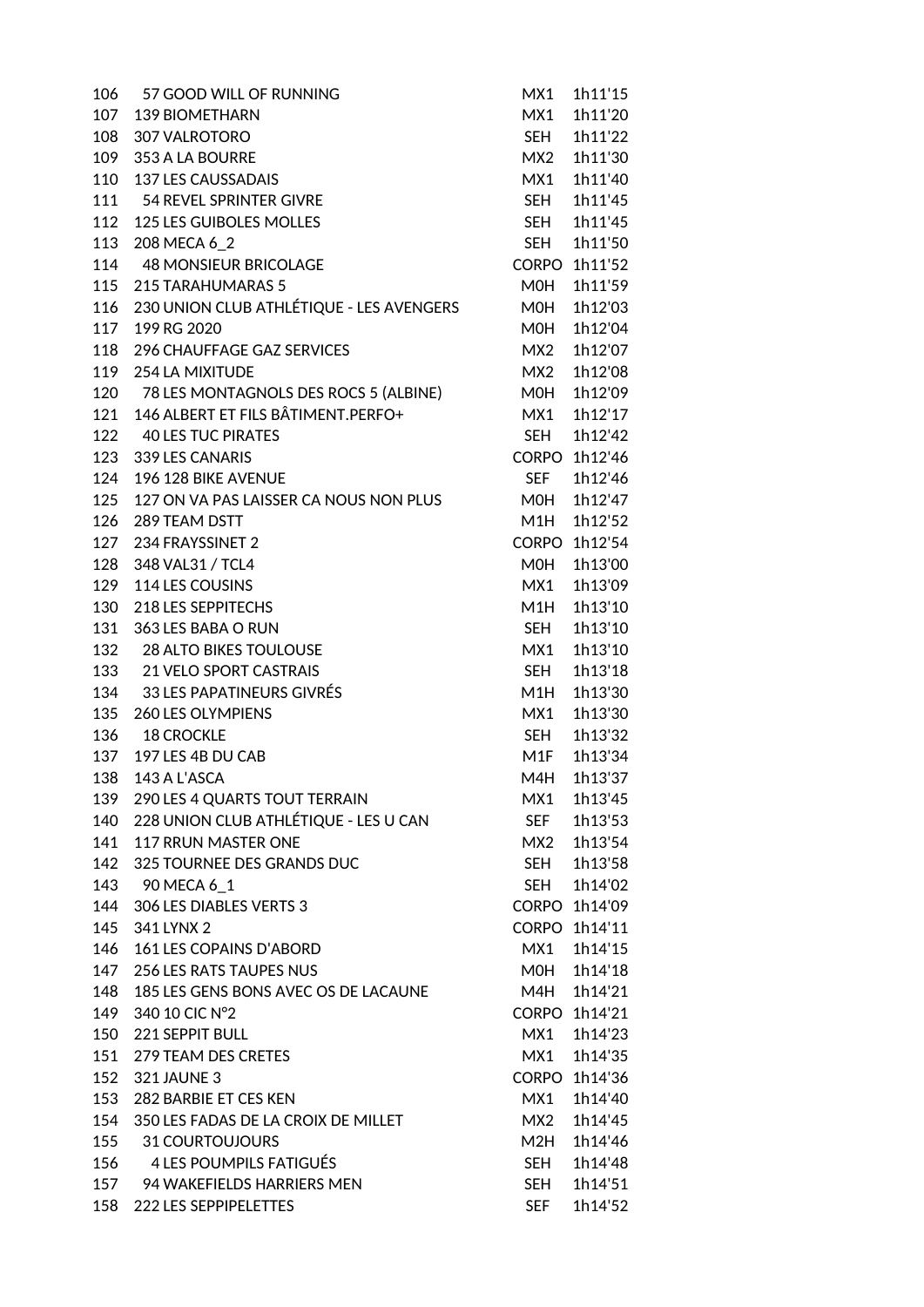| 106 | 57 GOOD WILL OF RUNNING                   | MX1          | 1h11'15       |
|-----|-------------------------------------------|--------------|---------------|
| 107 | 139 BIOMETHARN                            | MX1          | 1h11'20       |
| 108 | 307 VALROTORO                             | SEH          | 1h11'22       |
| 109 | 353 A LA BOURRE                           | MX2          | 1h11'30       |
| 110 | <b>137 LES CAUSSADAIS</b>                 | MX1          | 1h11'40       |
| 111 | 54 REVEL SPRINTER GIVRE                   | <b>SEH</b>   | 1h11'45       |
| 112 | 125 LES GUIBOLES MOLLES                   | SEH          | 1h11'45       |
| 113 | 208 MECA 6_2                              | <b>SEH</b>   | 1h11'50       |
| 114 | <b>48 MONSIEUR BRICOLAGE</b>              | <b>CORPO</b> | 1h11'52       |
| 115 | 215 TARAHUMARAS 5                         | M0H          | 1h11'59       |
| 116 | 230 UNION CLUB ATHLÉTIQUE - LES AVENGERS  | MOH          | 1h12'03       |
| 117 | 199 RG 2020                               | M0H          | 1h12'04       |
| 118 | 296 CHAUFFAGE GAZ SERVICES                | MX2          | 1h12'07       |
| 119 | 254 LA MIXITUDE                           | MX2          | 1h12'08       |
| 120 | 78 LES MONTAGNOLS DES ROCS 5 (ALBINE)     | <b>MOH</b>   | 1h12'09       |
| 121 | 146 ALBERT ET FILS BÂTIMENT.PERFO+        | MX1          | 1h12'17       |
| 122 | <b>40 LES TUC PIRATES</b>                 | SEH          | 1h12'42       |
| 123 | 339 LES CANARIS                           | <b>CORPO</b> | 1h12'46       |
| 124 | 196 128 BIKE AVENUE                       | <b>SEF</b>   | 1h12'46       |
| 125 | 127 ON VA PAS LAISSER CA NOUS NON PLUS    | MOH          | 1h12'47       |
| 126 | 289 TEAM DSTT                             | M1H          | 1h12'52       |
| 127 | 234 FRAYSSINET 2                          | <b>CORPO</b> | 1h12'54       |
| 128 | 348 VAL31 / TCL4                          | MOH          | 1h13'00       |
| 129 | 114 LES COUSINS                           | MX1          | 1h13'09       |
| 130 | 218 LES SEPPITECHS                        | M1H          | 1h13'10       |
| 131 | 363 LES BABA O RUN                        | SEH          | 1h13'10       |
| 132 | <b>28 ALTO BIKES TOULOUSE</b>             | MX1          | 1h13'10       |
| 133 | <b>21 VELO SPORT CASTRAIS</b>             | <b>SEH</b>   | 1h13'18       |
| 134 | <b>33 LES PAPATINEURS GIVRÉS</b>          | M1H          | 1h13'30       |
| 135 | <b>260 LES OLYMPIENS</b>                  | MX1          | 1h13'30       |
| 136 | <b>18 CROCKLE</b>                         | SEH          | 1h13'32       |
| 137 | 197 LES 4B DU CAB                         | M1F          | 1h13'34       |
|     | 138 143 A L'ASCA                          | M4H          | 1h13'37       |
|     | 139 290 LES 4 QUARTS TOUT TERRAIN         | MX1          | 1h13'45       |
|     | 140 228 UNION CLUB ATHLÉTIQUE - LES U CAN | SEF          | 1h13'53       |
| 141 | 117 RRUN MASTER ONE                       | MX2          | 1h13'54       |
| 142 | 325 TOURNEE DES GRANDS DUC                | <b>SEH</b>   | 1h13'58       |
| 143 | 90 MECA 6 1                               | <b>SEH</b>   | 1h14'02       |
| 144 | 306 LES DIABLES VERTS 3                   |              | CORPO 1h14'09 |
| 145 | 341 LYNX 2                                |              | CORPO 1h14'11 |
|     | 146 161 LES COPAINS D'ABORD               | MX1          | 1h14'15       |
| 147 | <b>256 LES RATS TAUPES NUS</b>            | <b>MOH</b>   | 1h14'18       |
| 148 | 185 LES GENS BONS AVEC OS DE LACAUNE      | M4H          | 1h14'21       |
| 149 | 340 10 CIC N°2                            |              | CORPO 1h14'21 |
| 150 | 221 SEPPIT BULL                           | MX1          | 1h14'23       |
|     | 151 279 TEAM DES CRETES                   | MX1          | 1h14'35       |
|     | 152 321 JAUNE 3                           |              | CORPO 1h14'36 |
| 153 | 282 BARBIE ET CES KEN                     | MX1          | 1h14'40       |
| 154 | 350 LES FADAS DE LA CROIX DE MILLET       | MX2          | 1h14'45       |
| 155 | 31 COURTOUJOURS                           | M2H          | 1h14'46       |
| 156 | 4 LES POUMPILS FATIGUÉS                   | SEH          | 1h14'48       |
|     | 157 94 WAKEFIELDS HARRIERS MEN            | SEH          | 1h14'51       |
| 158 | 222 LES SEPPIPELETTES                     | SEF          | 1h14'52       |
|     |                                           |              |               |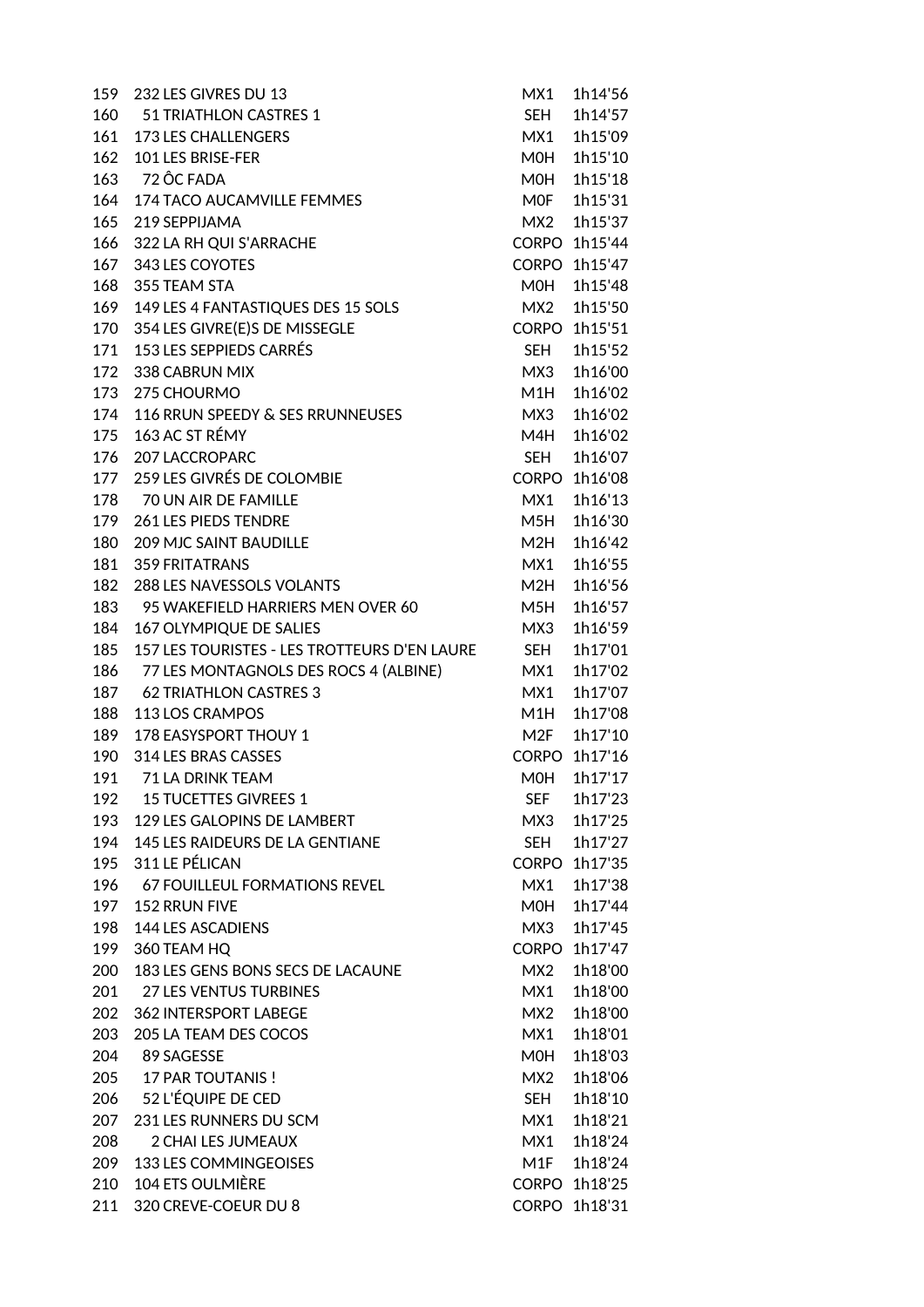| 159 | 232 LES GIVRES DU 13                         | MX1                 | 1h14'56       |
|-----|----------------------------------------------|---------------------|---------------|
|     | 160 51 TRIATHLON CASTRES 1                   | SEH                 | 1h14'57       |
|     | 161 173 LES CHALLENGERS                      | MX1                 | 1h15'09       |
| 162 | 101 LES BRISE-FER                            | MOH                 | 1h15'10       |
|     | 163 72 ÔC FADA                               | MOH                 | 1h15'18       |
| 164 | 174 TACO AUCAMVILLE FEMMES                   | MOF                 | 1h15'31       |
| 165 | 219 SEPPIJAMA                                | MX2                 | 1h15'37       |
| 166 | 322 LA RH QUI S'ARRACHE                      | <b>CORPO</b>        | 1h15'44       |
| 167 | 343 LES COYOTES                              | <b>CORPO</b>        | 1h15'47       |
| 168 | 355 TEAM STA                                 | M0H                 | 1h15'48       |
| 169 | 149 LES 4 FANTASTIQUES DES 15 SOLS           | MX2                 | 1h15'50       |
| 170 | 354 LES GIVRE(E)S DE MISSEGLE                | <b>CORPO</b>        | 1h15'51       |
| 171 | 153 LES SEPPIEDS CARRÉS                      | <b>SEH</b>          | 1h15'52       |
| 172 | 338 CABRUN MIX                               | MX3                 | 1h16'00       |
| 173 | 275 CHOURMO                                  | M1H                 | 1h16'02       |
| 174 | 116 RRUN SPEEDY & SES RRUNNEUSES             | MX3                 | 1h16'02       |
| 175 | 163 AC ST RÉMY                               | M4H                 | 1h16'02       |
| 176 | <b>207 LACCROPARC</b>                        | <b>SEH</b>          | 1h16'07       |
| 177 | 259 LES GIVRÉS DE COLOMBIE                   | <b>CORPO</b>        | 1h16'08       |
|     | 178 70 UN AIR DE FAMILLE                     | MX1                 | 1h16'13       |
| 179 | <b>261 LES PIEDS TENDRE</b>                  | M5H                 | 1h16'30       |
| 180 | <b>209 MJC SAINT BAUDILLE</b>                | M2H                 | 1h16'42       |
| 181 | <b>359 FRITATRANS</b>                        | MX1                 | 1h16'55       |
| 182 | 288 LES NAVESSOLS VOLANTS                    | M2H                 | 1h16'56       |
| 183 | 95 WAKEFIELD HARRIERS MEN OVER 60            | M5H                 | 1h16'57       |
| 184 | 167 OLYMPIQUE DE SALIES                      | MX3                 | 1h16'59       |
| 185 | 157 LES TOURISTES - LES TROTTEURS D'EN LAURE | <b>SEH</b>          | 1h17'01       |
| 186 | 77 LES MONTAGNOLS DES ROCS 4 (ALBINE)        | MX1                 | 1h17'02       |
|     | 187 62 TRIATHLON CASTRES 3                   | MX1                 | 1h17'07       |
| 188 | 113 LOS CRAMPOS                              | M1H                 | 1h17'08       |
| 189 | <b>178 EASYSPORT THOUY 1</b>                 | M2F                 | 1h17'10       |
| 190 | 314 LES BRAS CASSES                          | <b>CORPO</b>        | 1h17'16       |
|     | 191 71 LA DRINK TEAM                         |                     | M0H 1h17'17   |
|     | 192 15 TUCETTES GIVREES 1                    | <b>SEF</b>          | 1h17'23       |
| 193 | 129 LES GALOPINS DE LAMBERT                  | МХЗ                 | 1h17'25       |
| 194 | 145 LES RAIDEURS DE LA GENTIANE              |                     | 1h17'27       |
| 195 | 311 LE PÉLICAN                               | SEH<br><b>CORPO</b> | 1h17'35       |
|     |                                              |                     |               |
| 196 | <b>67 FOUILLEUL FORMATIONS REVEL</b>         | MX1                 | 1h17'38       |
| 197 | <b>152 RRUN FIVE</b>                         | MOH                 | 1h17'44       |
| 198 | 144 LES ASCADIENS                            | MX3                 | 1h17'45       |
| 199 | 360 TEAM HQ                                  | <b>CORPO</b>        | 1h17'47       |
| 200 | 183 LES GENS BONS SECS DE LACAUNE            | MX2                 | 1h18'00       |
| 201 | <b>27 LES VENTUS TURBINES</b>                | MX1                 | 1h18'00       |
| 202 | 362 INTERSPORT LABEGE                        | MX2                 | 1h18'00       |
| 203 | 205 LA TEAM DES COCOS                        | MX1                 | 1h18'01       |
| 204 | 89 SAGESSE                                   | MOH                 | 1h18'03       |
|     | 205 17 PAR TOUTANIS!                         | MX2                 | 1h18'06       |
|     | 206 52 L'ÉQUIPE DE CED                       | <b>SEH</b>          | 1h18'10       |
| 207 | 231 LES RUNNERS DU SCM                       | MX1                 | 1h18'21       |
| 208 | 2 CHAI LES JUMEAUX                           | MX1                 | 1h18'24       |
| 209 | 133 LES COMMINGEOISES                        | M1F                 | 1h18'24       |
| 210 | <b>104 ETS OULMIÈRE</b>                      | <b>CORPO</b>        | 1h18'25       |
| 211 | 320 CREVE-COEUR DU 8                         |                     | CORPO 1h18'31 |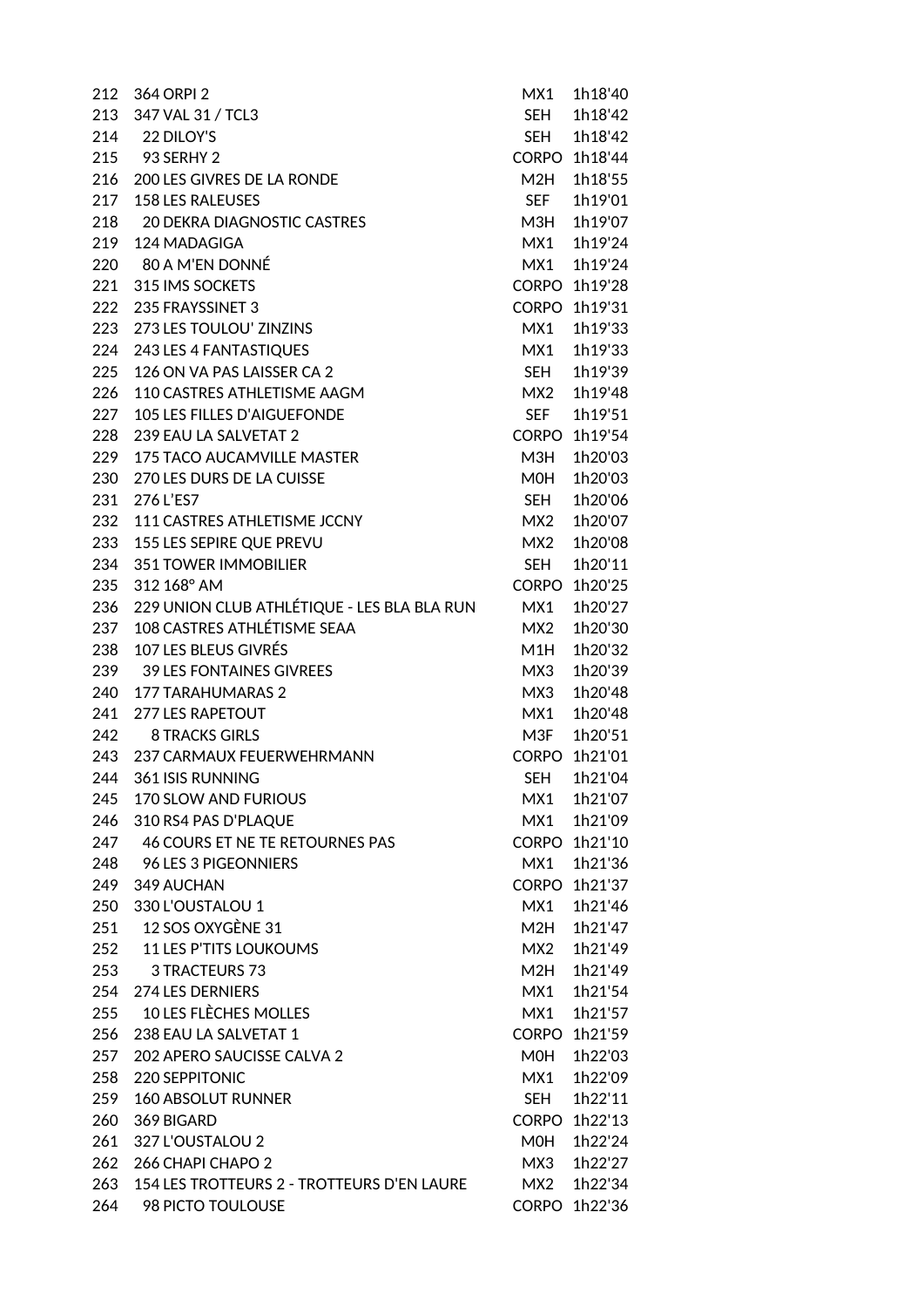| 212 | 364 ORPI 2                                     | MX1          | 1h18'40       |
|-----|------------------------------------------------|--------------|---------------|
| 213 | 347 VAL 31 / TCL3                              | <b>SEH</b>   | 1h18'42       |
|     | 214 22 DILOY'S                                 | SEH          | 1h18'42       |
|     | 215 93 SERHY 2                                 | <b>CORPO</b> | 1h18'44       |
| 216 | 200 LES GIVRES DE LA RONDE                     | M2H          | 1h18'55       |
| 217 | <b>158 LES RALEUSES</b>                        | <b>SEF</b>   | 1h19'01       |
| 218 | <b>20 DEKRA DIAGNOSTIC CASTRES</b>             | M3H          | 1h19'07       |
| 219 | 124 MADAGIGA                                   | MX1          | 1h19'24       |
| 220 | 80 A M'EN DONNÉ                                | MX1          | 1h19'24       |
| 221 | 315 IMS SOCKETS                                |              | CORPO 1h19'28 |
| 222 | 235 FRAYSSINET 3                               | <b>CORPO</b> | 1h19'31       |
| 223 | 273 LES TOULOU' ZINZINS                        | MX1          | 1h19'33       |
| 224 | 243 LES 4 FANTASTIQUES                         | MX1          | 1h19'33       |
| 225 | 126 ON VA PAS LAISSER CA 2                     | <b>SEH</b>   | 1h19'39       |
| 226 | 110 CASTRES ATHLETISME AAGM                    | MX2          | 1h19'48       |
| 227 | <b>105 LES FILLES D'AIGUEFONDE</b>             | <b>SEF</b>   | 1h19'51       |
| 228 | 239 EAU LA SALVETAT 2                          | <b>CORPO</b> | 1h19'54       |
| 229 | <b>175 TACO AUCAMVILLE MASTER</b>              | M3H          | 1h20'03       |
| 230 | 270 LES DURS DE LA CUISSE                      | MOH          | 1h20'03       |
| 231 | 276 L'ES7                                      | <b>SFH</b>   | 1h20'06       |
| 232 | 111 CASTRES ATHLETISME JCCNY                   | MX2          | 1h20'07       |
| 233 | 155 LES SEPIRE QUE PREVU                       | MX2          | 1h20'08       |
| 234 | <b>351 TOWER IMMOBILIER</b>                    | SEH          | 1h20'11       |
| 235 | 312 168° AM                                    | <b>CORPO</b> | 1h20'25       |
| 236 | 229 UNION CLUB ATHLÉTIQUE - LES BLA BLA RUN    | MX1          | 1h20'27       |
| 237 | 108 CASTRES ATHLÉTISME SEAA                    | MX2          | 1h20'30       |
| 238 | 107 LES BLEUS GIVRÉS                           | M1H          | 1h20'32       |
| 239 | <b>39 LES FONTAINES GIVREES</b>                | MX3          | 1h20'39       |
| 240 | <b>177 TARAHUMARAS 2</b>                       | MX3          | 1h20'48       |
| 241 | <b>277 LES RAPETOUT</b>                        | MX1          | 1h20'48       |
| 242 | <b>8 TRACKS GIRLS</b>                          | M3F          | 1h20'51       |
| 243 | 237 CARMAUX FEUERWEHRMANN                      | <b>CORPO</b> | 1h21'01       |
|     | 244 361 ISIS RUNNING                           |              | SEH 1h21'04   |
|     | 245 170 SLOW AND FURIOUS                       | MX1          | 1h21'07       |
| 246 | 310 RS4 PAS D'PLAQUE                           | MX1          | 1h21'09       |
| 247 | 46 COURS ET NE TE RETOURNES PAS                | <b>CORPO</b> | 1h21'10       |
| 248 | 96 LES 3 PIGEONNIERS                           | MX1          | 1h21'36       |
| 249 | 349 AUCHAN                                     | <b>CORPO</b> | 1h21'37       |
|     | 250 330 L'OUSTALOU 1                           | MX1          | 1h21'46       |
|     | 251 12 SOS OXYGÈNE 31                          | M2H          | 1h21'47       |
|     | 252 11 LES P'TITS LOUKOUMS                     | MX2          | 1h21'49       |
| 253 | 3 TRACTEURS 73                                 | M2H          | 1h21'49       |
| 254 | 274 LES DERNIERS                               | MX1          | 1h21'54       |
|     | 255 10 LES FLÈCHES MOLLES                      | MX1          | 1h21'57       |
| 256 | 238 EAU LA SALVETAT 1                          | <b>CORPO</b> | 1h21'59       |
| 257 | 202 APERO SAUCISSE CALVA 2                     | MOH          | 1h22'03       |
| 258 | 220 SEPPITONIC                                 | MX1          | 1h22'09       |
| 259 | <b>160 ABSOLUT RUNNER</b>                      | SEH          | 1h22'11       |
| 260 | 369 BIGARD                                     | <b>CORPO</b> | 1h22'13       |
| 261 | 327 L'OUSTALOU 2                               | MOH          | 1h22'24       |
| 262 | 266 CHAPI CHAPO 2                              | MX3          | 1h22'27       |
|     | 263 154 LES TROTTEURS 2 - TROTTEURS D'EN LAURE | MX2          | 1h22'34       |
|     | 264 98 PICTO TOULOUSE                          |              | CORPO 1h22'36 |
|     |                                                |              |               |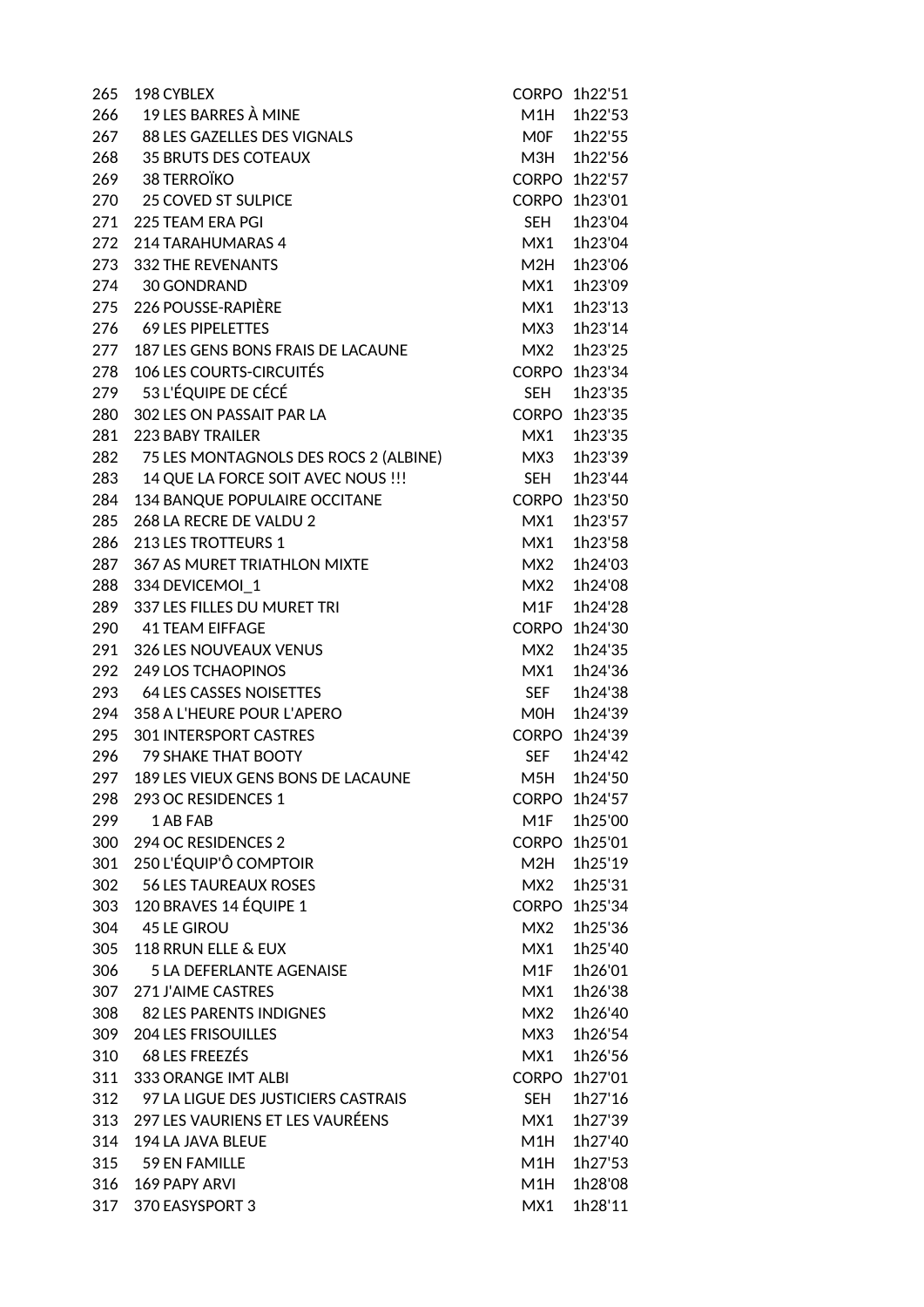| 265 | 198 CYBLEX                             |            | CORPO 1h22'51 |
|-----|----------------------------------------|------------|---------------|
| 266 | 19 LES BARRES À MINE                   | M1H        | 1h22'53       |
|     | 267 88 LES GAZELLES DES VIGNALS        | <b>MOF</b> | 1h22'55       |
|     | 268 35 BRUTS DES COTEAUX               | M3H        | 1h22'56       |
|     | 269 38 TERROÏKO                        |            | CORPO 1h22'57 |
|     | 270 25 COVED ST SULPICE                |            | CORPO 1h23'01 |
| 271 | 225 TEAM ERA PGI                       | SEH        | 1h23'04       |
| 272 | 214 TARAHUMARAS 4                      | MX1        | 1h23'04       |
| 273 | <b>332 THE REVENANTS</b>               | M2H        | 1h23'06       |
|     | 274 30 GONDRAND                        | MX1        | 1h23'09       |
| 275 | 226 POUSSE-RAPIÈRE                     | MX1        | 1h23'13       |
| 276 | <b>69 LES PIPELETTES</b>               | MX3        | 1h23'14       |
| 277 | 187 LES GENS BONS FRAIS DE LACAUNE     | MX2        | 1h23'25       |
| 278 | <b>106 LES COURTS-CIRCUITÉS</b>        |            | CORPO 1h23'34 |
|     | 279 53 L'ÉQUIPE DE CÉCÉ                | <b>SFH</b> | 1h23'35       |
| 280 | 302 LES ON PASSAIT PAR LA              |            | CORPO 1h23'35 |
| 281 | <b>223 BABY TRAILER</b>                | MX1        | 1h23'35       |
| 282 | 75 LES MONTAGNOLS DES ROCS 2 (ALBINE)  | MX3        | 1h23'39       |
| 283 | 14 QUE LA FORCE SOIT AVEC NOUS !!!     | SEH        | 1h23'44       |
| 284 | 134 BANQUE POPULAIRE OCCITANE          |            | CORPO 1h23'50 |
| 285 | 268 LA RECRE DE VALDU 2                | MX1        | 1h23'57       |
| 286 | 213 LES TROTTEURS 1                    | MX1        | 1h23'58       |
| 287 | 367 AS MURET TRIATHLON MIXTE           | MX2        | 1h24'03       |
| 288 | 334 DEVICEMOI 1                        | MX2        | 1h24'08       |
| 289 | 337 LES FILLES DU MURET TRI            | M1F        | 1h24'28       |
| 290 | <b>41 TEAM EIFFAGE</b>                 |            | CORPO 1h24'30 |
| 291 | <b>326 LES NOUVEAUX VENUS</b>          | MX2        | 1h24'35       |
| 292 | <b>249 LOS TCHAOPINOS</b>              | MX1        | 1h24'36       |
|     | 293 64 LES CASSES NOISETTES            | <b>SEF</b> | 1h24'38       |
| 294 | 358 A L'HEURE POUR L'APERO             | <b>MOH</b> | 1h24'39       |
| 295 | 301 INTERSPORT CASTRES                 |            | CORPO 1h24'39 |
| 296 | <b>79 SHAKE THAT BOOTY</b>             | <b>SEF</b> | 1h24'42       |
|     | 297 189 LES VIEUX GENS BONS DE LACAUNE |            | M5H 1h24'50   |
| 298 | 293 OC RESIDENCES 1                    |            | CORPO 1h24'57 |
| 299 | 1 AB FAB                               | M1F        | 1h25'00       |
| 300 | 294 OC RESIDENCES 2                    |            | CORPO 1h25'01 |
| 301 | 250 L'ÉQUIP'Ô COMPTOIR                 | M2H        | 1h25'19       |
| 302 | 56 LES TAUREAUX ROSES                  | MX2        | 1h25'31       |
| 303 | 120 BRAVES 14 ÉQUIPE 1                 |            | CORPO 1h25'34 |
|     | 304 45 LE GIROU                        | MX2        | 1h25'36       |
| 305 | 118 RRUN ELLE & EUX                    | MX1        | 1h25'40       |
| 306 | <b>5 LA DEFERLANTE AGENAISE</b>        | M1F        | 1h26'01       |
| 307 | <b>271 J'AIME CASTRES</b>              | MX1        | 1h26'38       |
| 308 | 82 LES PARENTS INDIGNES                | MX2        | 1h26'40       |
| 309 | <b>204 LES FRISOUILLES</b>             | MX3        | 1h26'54       |
| 310 | 68 LES FREEZÉS                         | MX1        | 1h26'56       |
| 311 | 333 ORANGE IMT ALBI                    |            | CORPO 1h27'01 |
| 312 | 97 LA LIGUE DES JUSTICIERS CASTRAIS    | SEH        | 1h27'16       |
| 313 | 297 LES VAURIENS ET LES VAURÉENS       | MX1        | 1h27'39       |
| 314 | 194 LA JAVA BLEUE                      | M1H        | 1h27'40       |
| 315 | 59 EN FAMILLE                          | M1H        | 1h27'53       |
| 316 | <b>169 PAPY ARVI</b>                   | M1H        | 1h28'08       |
| 317 | 370 EASYSPORT 3                        | MX1        | 1h28'11       |